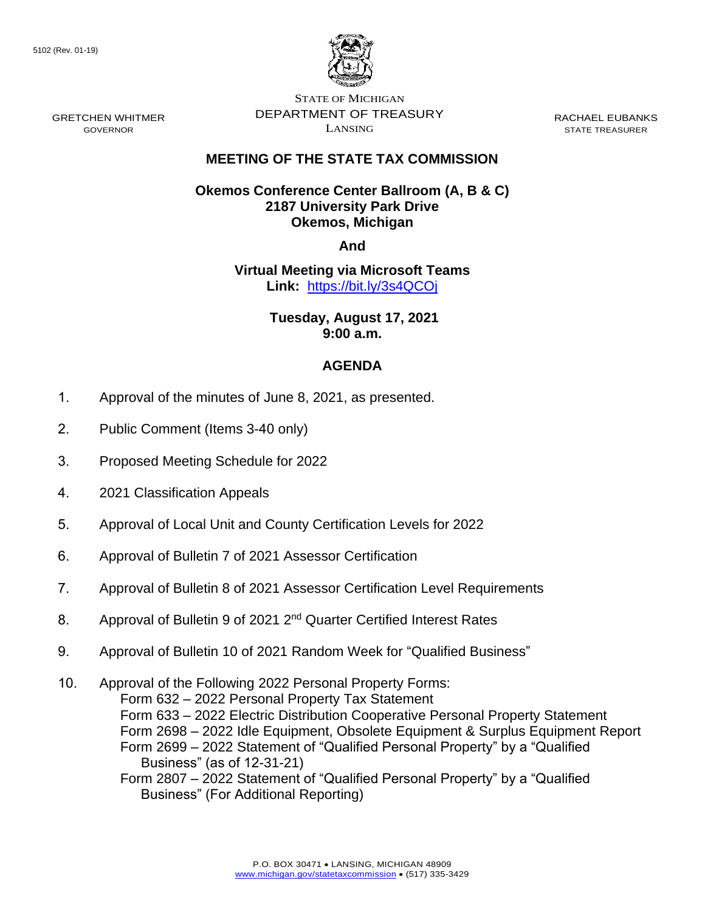GRETCHEN WHITMER GOVERNOR



STATE OF MICHIGAN DEPARTMENT OF TREASURY LANSING

RACHAEL EUBANKS STATE TREASURER

## **MEETING OF THE STATE TAX COMMISSION**

## **Okemos Conference Center Ballroom (A, B & C) 2187 University Park Drive Okemos, Michigan**

**And**

**Virtual Meeting via Microsoft Teams Link:** [https://bit.ly/3s4QCOj](https://gcc02.safelinks.protection.outlook.com/?url=https%3A%2F%2Fbit.ly%2F3s4QCOj&data=04%7C01%7CDensteadtL%40michigan.gov%7C8e7ab9abc82a4347b53408d95b32fdf0%7Cd5fb7087377742ad966a892ef47225d1%7C0%7C0%7C637641096835939121%7CUnknown%7CTWFpbGZsb3d8eyJWIjoiMC4wLjAwMDAiLCJQIjoiV2luMzIiLCJBTiI6Ik1haWwiLCJXVCI6Mn0%3D%7C1000&sdata=8Ayre0aDfxHg8deb%2BLNjJPH%2FPhihGYmi6lSagAXbS68%3D&reserved=0)

> **Tuesday, August 17, 2021 9:00 a.m.**

## **AGENDA**

- 1. Approval of the minutes of June 8, 2021, as presented.
- 2. Public Comment (Items 3-40 only)
- 3. Proposed Meeting Schedule for 2022
- 4. 2021 Classification Appeals
- 5. Approval of Local Unit and County Certification Levels for 2022
- 6. Approval of Bulletin 7 of 2021 Assessor Certification
- 7. Approval of Bulletin 8 of 2021 Assessor Certification Level Requirements
- 8. Approval of Bulletin 9 of 2021 2<sup>nd</sup> Quarter Certified Interest Rates
- 9. Approval of Bulletin 10 of 2021 Random Week for "Qualified Business"
- 10. Approval of the Following 2022 Personal Property Forms: Form 632 – 2022 Personal Property Tax Statement Form 633 – 2022 Electric Distribution Cooperative Personal Property Statement Form 2698 – 2022 Idle Equipment, Obsolete Equipment & Surplus Equipment Report Form 2699 – 2022 Statement of "Qualified Personal Property" by a "Qualified Business" (as of 12-31-21) Form 2807 – 2022 Statement of "Qualified Personal Property" by a "Qualified
	- Business" (For Additional Reporting)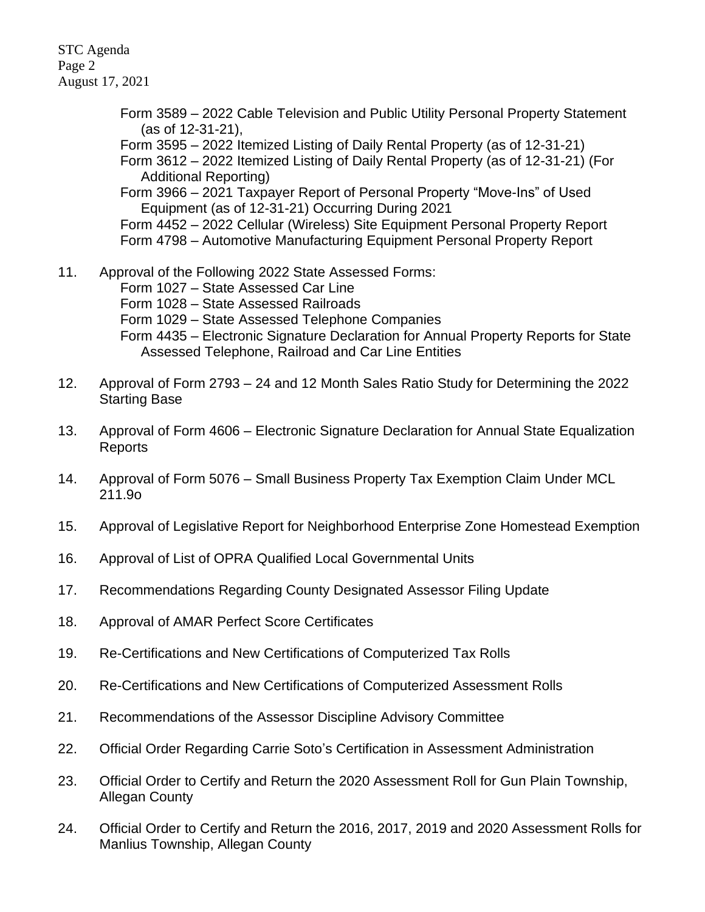STC Agenda Page 2 August 17, 2021

> Form 3589 – 2022 Cable Television and Public Utility Personal Property Statement (as of 12-31-21),

Form 3595 – 2022 Itemized Listing of Daily Rental Property (as of 12-31-21)

Form 3612 – 2022 Itemized Listing of Daily Rental Property (as of 12-31-21) (For Additional Reporting)

Form 3966 – 2021 Taxpayer Report of Personal Property "Move-Ins" of Used Equipment (as of 12-31-21) Occurring During 2021

Form 4452 – 2022 Cellular (Wireless) Site Equipment Personal Property Report Form 4798 – Automotive Manufacturing Equipment Personal Property Report

11. Approval of the Following 2022 State Assessed Forms:

Form 1027 – State Assessed Car Line

Form 1028 – State Assessed Railroads

- Form 1029 State Assessed Telephone Companies
- Form 4435 Electronic Signature Declaration for Annual Property Reports for State Assessed Telephone, Railroad and Car Line Entities
- 12. Approval of Form 2793 24 and 12 Month Sales Ratio Study for Determining the 2022 Starting Base
- 13. Approval of Form 4606 Electronic Signature Declaration for Annual State Equalization Reports
- 14. Approval of Form 5076 Small Business Property Tax Exemption Claim Under MCL 211.9o
- 15. Approval of Legislative Report for Neighborhood Enterprise Zone Homestead Exemption
- 16. Approval of List of OPRA Qualified Local Governmental Units
- 17. Recommendations Regarding County Designated Assessor Filing Update
- 18. Approval of AMAR Perfect Score Certificates
- 19. Re-Certifications and New Certifications of Computerized Tax Rolls
- 20. Re-Certifications and New Certifications of Computerized Assessment Rolls
- 21. Recommendations of the Assessor Discipline Advisory Committee
- 22. Official Order Regarding Carrie Soto's Certification in Assessment Administration
- 23. Official Order to Certify and Return the 2020 Assessment Roll for Gun Plain Township, Allegan County
- 24. Official Order to Certify and Return the 2016, 2017, 2019 and 2020 Assessment Rolls for Manlius Township, Allegan County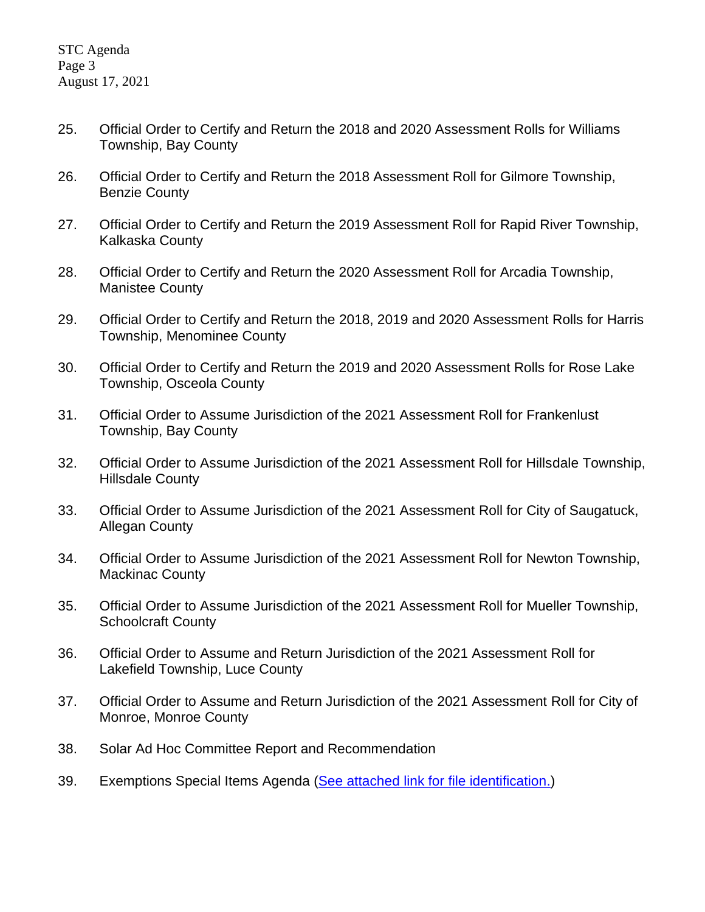- 25. Official Order to Certify and Return the 2018 and 2020 Assessment Rolls for Williams Township, Bay County
- 26. Official Order to Certify and Return the 2018 Assessment Roll for Gilmore Township, Benzie County
- 27. Official Order to Certify and Return the 2019 Assessment Roll for Rapid River Township, Kalkaska County
- 28. Official Order to Certify and Return the 2020 Assessment Roll for Arcadia Township, Manistee County
- 29. Official Order to Certify and Return the 2018, 2019 and 2020 Assessment Rolls for Harris Township, Menominee County
- 30. Official Order to Certify and Return the 2019 and 2020 Assessment Rolls for Rose Lake Township, Osceola County
- 31. Official Order to Assume Jurisdiction of the 2021 Assessment Roll for Frankenlust Township, Bay County
- 32. Official Order to Assume Jurisdiction of the 2021 Assessment Roll for Hillsdale Township, Hillsdale County
- 33. Official Order to Assume Jurisdiction of the 2021 Assessment Roll for City of Saugatuck, Allegan County
- 34. Official Order to Assume Jurisdiction of the 2021 Assessment Roll for Newton Township, Mackinac County
- 35. Official Order to Assume Jurisdiction of the 2021 Assessment Roll for Mueller Township, Schoolcraft County
- 36. Official Order to Assume and Return Jurisdiction of the 2021 Assessment Roll for Lakefield Township, Luce County
- 37. Official Order to Assume and Return Jurisdiction of the 2021 Assessment Roll for City of Monroe, Monroe County
- 38. Solar Ad Hoc Committee Report and Recommendation
- 39. Exemptions Special Items Agenda [\(See attached link for file identification.\)](https://www.michigan.gov/documents/treasury/39_Exemptions_Special_Item_Agenda_732325_7.pdf)